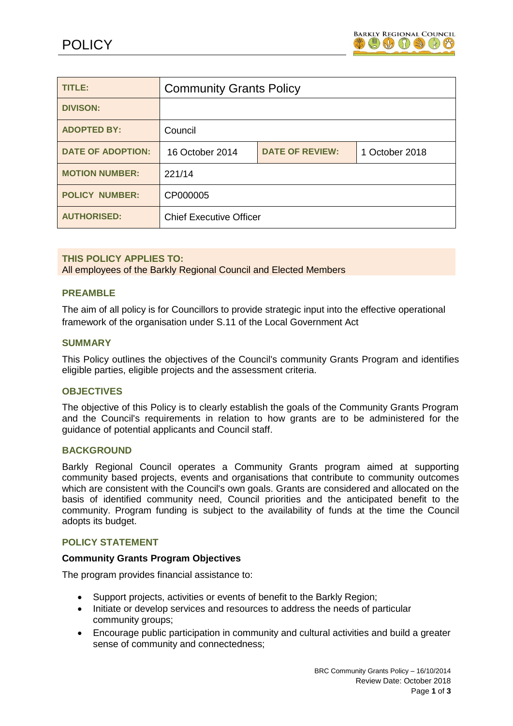

| TITLE:                   | <b>Community Grants Policy</b> |                        |                |
|--------------------------|--------------------------------|------------------------|----------------|
| <b>DIVISON:</b>          |                                |                        |                |
| <b>ADOPTED BY:</b>       | Council                        |                        |                |
| <b>DATE OF ADOPTION:</b> | 16 October 2014                | <b>DATE OF REVIEW:</b> | 1 October 2018 |
| <b>MOTION NUMBER:</b>    | 221/14                         |                        |                |
| <b>POLICY NUMBER:</b>    | CP000005                       |                        |                |
| <b>AUTHORISED:</b>       | <b>Chief Executive Officer</b> |                        |                |

# **THIS POLICY APPLIES TO:**

All employees of the Barkly Regional Council and Elected Members

# **PREAMBLE**

The aim of all policy is for Councillors to provide strategic input into the effective operational framework of the organisation under S.11 of the Local Government Act

### **SUMMARY**

This Policy outlines the objectives of the Council's community Grants Program and identifies eligible parties, eligible projects and the assessment criteria.

### **OBJECTIVES**

The objective of this Policy is to clearly establish the goals of the Community Grants Program and the Council's requirements in relation to how grants are to be administered for the guidance of potential applicants and Council staff.

### **BACKGROUND**

Barkly Regional Council operates a Community Grants program aimed at supporting community based projects, events and organisations that contribute to community outcomes which are consistent with the Council's own goals. Grants are considered and allocated on the basis of identified community need, Council priorities and the anticipated benefit to the community. Program funding is subject to the availability of funds at the time the Council adopts its budget.

### **POLICY STATEMENT**

### **Community Grants Program Objectives**

The program provides financial assistance to:

- Support projects, activities or events of benefit to the Barkly Region;
- $\bullet$  Initiate or develop services and resources to address the needs of particular community groups;
- Encourage public participation in community and cultural activities and build a greater sense of community and connectedness;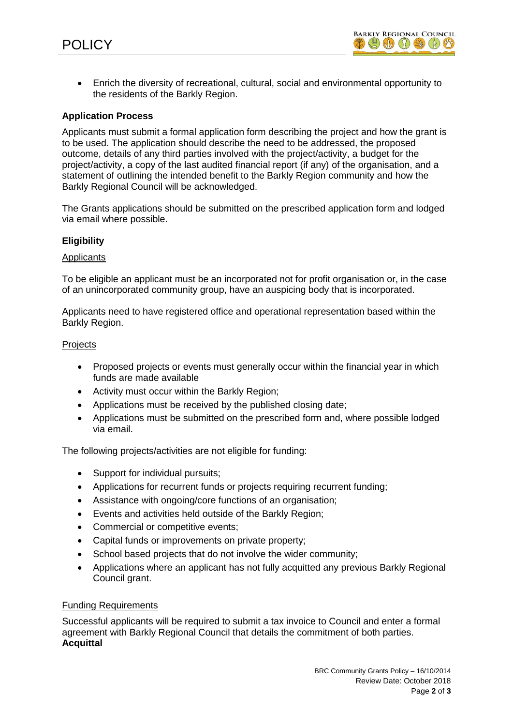

 Enrich the diversity of recreational, cultural, social and environmental opportunity to the residents of the Barkly Region.

# **Application Process**

Applicants must submit a formal application form describing the project and how the grant is to be used. The application should describe the need to be addressed, the proposed outcome, details of any third parties involved with the project/activity, a budget for the project/activity, a copy of the last audited financial report (if any) of the organisation, and a statement of outlining the intended benefit to the Barkly Region community and how the Barkly Regional Council will be acknowledged.

The Grants applications should be submitted on the prescribed application form and lodged via email where possible.

### **Eligibility**

### **Applicants**

To be eligible an applicant must be an incorporated not for profit organisation or, in the case of an unincorporated community group, have an auspicing body that is incorporated.

Applicants need to have registered office and operational representation based within the Barkly Region.

#### **Projects**

- Proposed projects or events must generally occur within the financial year in which funds are made available
- Activity must occur within the Barkly Region;
- Applications must be received by the published closing date;
- Applications must be submitted on the prescribed form and, where possible lodged via email.

The following projects/activities are not eligible for funding:

- Support for individual pursuits;
- Applications for recurrent funds or projects requiring recurrent funding;
- Assistance with ongoing/core functions of an organisation;
- Events and activities held outside of the Barkly Region;
- Commercial or competitive events:
- Capital funds or improvements on private property;
- School based projects that do not involve the wider community;
- Applications where an applicant has not fully acquitted any previous Barkly Regional Council grant.

### Funding Requirements

Successful applicants will be required to submit a tax invoice to Council and enter a formal agreement with Barkly Regional Council that details the commitment of both parties. **Acquittal**